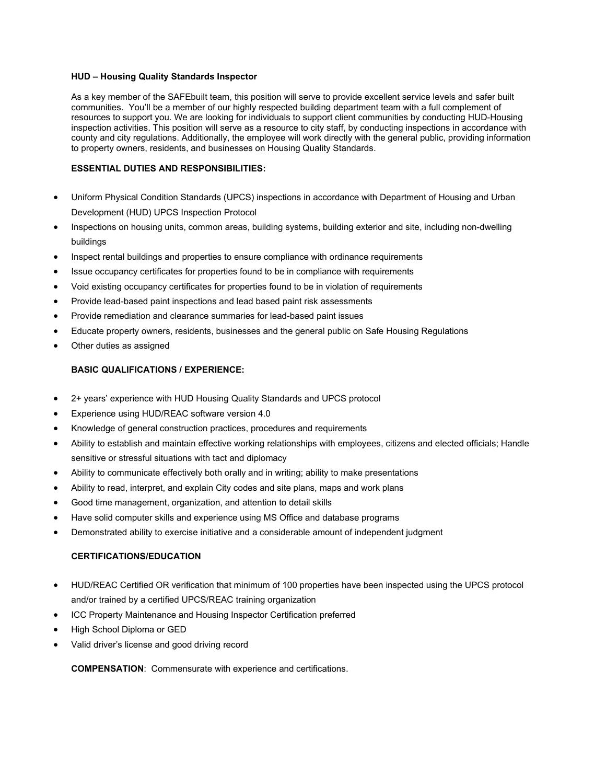## HUD – Housing Quality Standards Inspector

As a key member of the SAFEbuilt team, this position will serve to provide excellent service levels and safer built communities. You'll be a member of our highly respected building department team with a full complement of resources to support you. We are looking for individuals to support client communities by conducting HUD-Housing inspection activities. This position will serve as a resource to city staff, by conducting inspections in accordance with county and city regulations. Additionally, the employee will work directly with the general public, providing information to property owners, residents, and businesses on Housing Quality Standards.

## ESSENTIAL DUTIES AND RESPONSIBILITIES:

- Uniform Physical Condition Standards (UPCS) inspections in accordance with Department of Housing and Urban Development (HUD) UPCS Inspection Protocol
- Inspections on housing units, common areas, building systems, building exterior and site, including non-dwelling buildings
- Inspect rental buildings and properties to ensure compliance with ordinance requirements
- Issue occupancy certificates for properties found to be in compliance with requirements
- Void existing occupancy certificates for properties found to be in violation of requirements
- Provide lead-based paint inspections and lead based paint risk assessments
- Provide remediation and clearance summaries for lead-based paint issues
- Educate property owners, residents, businesses and the general public on Safe Housing Regulations
- Other duties as assigned

## BASIC QUALIFICATIONS / EXPERIENCE:

- 2+ years' experience with HUD Housing Quality Standards and UPCS protocol
- Experience using HUD/REAC software version 4.0
- Knowledge of general construction practices, procedures and requirements
- Ability to establish and maintain effective working relationships with employees, citizens and elected officials; Handle sensitive or stressful situations with tact and diplomacy
- Ability to communicate effectively both orally and in writing; ability to make presentations
- Ability to read, interpret, and explain City codes and site plans, maps and work plans
- Good time management, organization, and attention to detail skills
- Have solid computer skills and experience using MS Office and database programs
- Demonstrated ability to exercise initiative and a considerable amount of independent judgment

## CERTIFICATIONS/EDUCATION

- HUD/REAC Certified OR verification that minimum of 100 properties have been inspected using the UPCS protocol and/or trained by a certified UPCS/REAC training organization
- ICC Property Maintenance and Housing Inspector Certification preferred
- High School Diploma or GED
- Valid driver's license and good driving record

COMPENSATION: Commensurate with experience and certifications.